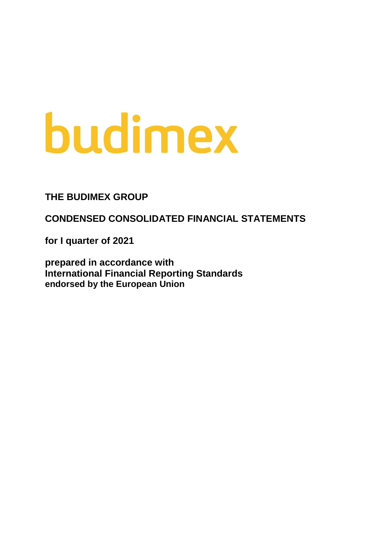# budimex

**THE BUDIMEX GROUP**

**CONDENSED CONSOLIDATED FINANCIAL STATEMENTS** 

**for I quarter of 2021**

**prepared in accordance with International Financial Reporting Standards endorsed by the European Union**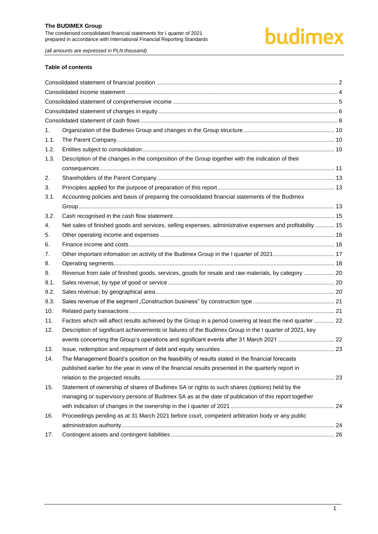# budimex

*(all amounts are expressed in PLN thousand)*

#### **Table of contents**

| 1.   |                                                                                                           |  |
|------|-----------------------------------------------------------------------------------------------------------|--|
| 1.1. |                                                                                                           |  |
| 1.2. |                                                                                                           |  |
| 1.3. | Description of the changes in the composition of the Group together with the indication of their          |  |
|      |                                                                                                           |  |
| 2.   |                                                                                                           |  |
| 3.   |                                                                                                           |  |
| 3.1. | Accounting policies and basis of preparing the consolidated financial statements of the Budimex           |  |
|      |                                                                                                           |  |
| 3.2. |                                                                                                           |  |
| 4.   | Net sales of finished goods and services, selling expenses, administrative expenses and profitability  15 |  |
| 5.   |                                                                                                           |  |
| 6.   |                                                                                                           |  |
| 7.   |                                                                                                           |  |
| 8.   |                                                                                                           |  |
| 9.   | Revenue from sale of finished goods, services, goods for resale and raw materials, by category  20        |  |
| 9.1. |                                                                                                           |  |
| 9.2. |                                                                                                           |  |
| 9.3. |                                                                                                           |  |
| 10.  |                                                                                                           |  |
| 11.  | Factors which will affect results achieved by the Group in a period covering at least the next quarter 22 |  |
| 12.  | Description of significant achievements or failures of the Budimex Group in the I quarter of 2021, key    |  |
|      | events concerning the Group's operations and significant events after 31 March 2021  22                   |  |
| 13.  |                                                                                                           |  |
| 14.  | The Management Board's position on the feasibility of results stated in the financial forecasts           |  |
|      | published earlier for the year in view of the financial results presented in the quarterly report in      |  |
|      |                                                                                                           |  |
| 15.  | Statement of ownership of shares of Budimex SA or rights to such shares (options) held by the             |  |
|      | managing or supervisory persons of Budimex SA as at the date of publication of this report together       |  |
|      |                                                                                                           |  |
| 16.  | Proceedings pending as at 31 March 2021 before court, competent arbitration body or any public            |  |
|      |                                                                                                           |  |
| 17.  |                                                                                                           |  |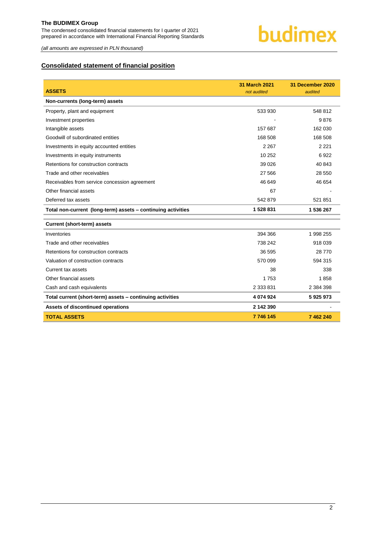

*(all amounts are expressed in PLN thousand)*

# <span id="page-2-0"></span>**Consolidated statement of financial position**

| <b>ASSETS</b>                                                | <b>31 March 2021</b><br>not audited | 31 December 2020<br>audited |
|--------------------------------------------------------------|-------------------------------------|-----------------------------|
| Non-currents (long-term) assets                              |                                     |                             |
| Property, plant and equipment                                | 533 930                             | 548 812                     |
|                                                              |                                     |                             |
| Investment properties                                        |                                     | 9876                        |
| Intangible assets                                            | 157 687                             | 162 030                     |
| Goodwill of subordinated entities                            | 168 508                             | 168 508                     |
| Investments in equity accounted entities                     | 2 2 6 7                             | 2 2 2 1                     |
| Investments in equity instruments                            | 10 252                              | 6922                        |
| Retentions for construction contracts                        | 39 0 26                             | 40 843                      |
| Trade and other receivables                                  | 27 5 66                             | 28 550                      |
| Receivables from service concession agreement                | 46 649                              | 46 654                      |
| Other financial assets                                       | 67                                  |                             |
| Deferred tax assets                                          | 542 879                             | 521 851                     |
| Total non-current (long-term) assets - continuing activities | 1 528 831                           | 1 536 267                   |
| <b>Current (short-term) assets</b>                           |                                     |                             |
|                                                              |                                     |                             |
| Inventories                                                  | 394 366                             | 1 998 255                   |
| Trade and other receivables                                  | 738 242                             | 918 039                     |
| Retentions for construction contracts                        | 36 595                              | 28 770                      |
| Valuation of construction contracts                          | 570 099                             | 594 315                     |
| Current tax assets                                           | 38                                  | 338                         |
| Other financial assets                                       | 1753                                | 1858                        |
| Cash and cash equivalents                                    | 2 333 831                           | 2 384 398                   |
| Total current (short-term) assets - continuing activities    | 4 074 924                           | 5925973                     |
| Assets of discontinued operations                            | 2 142 390                           |                             |
| <b>TOTAL ASSETS</b>                                          | 7 746 145                           | 7462240                     |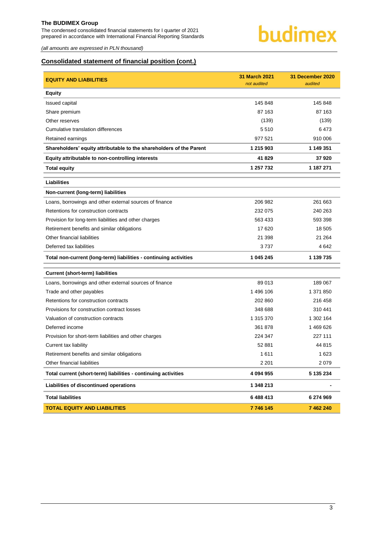The condensed consolidated financial statements for I quarter of 2021 prepared in accordance with International Financial Reporting Standards



*(all amounts are expressed in PLN thousand)*

# **Consolidated statement of financial position (cont.)**

| <b>EQUITY AND LIABILITIES</b>                                       | <b>31 March 2021</b><br>not audited | 31 December 2020<br>audited |
|---------------------------------------------------------------------|-------------------------------------|-----------------------------|
| <b>Equity</b>                                                       |                                     |                             |
| Issued capital                                                      | 145 848                             | 145 848                     |
| Share premium                                                       | 87 163                              | 87 163                      |
| Other reserves                                                      | (139)                               | (139)                       |
| Cumulative translation differences                                  | 5510                                | 6473                        |
| Retained earnings                                                   | 977 521                             | 910 006                     |
| Shareholders' equity attributable to the shareholders of the Parent | 1 215 903                           | 1 149 351                   |
| Equity attributable to non-controlling interests                    | 41829                               | 37920                       |
| <b>Total equity</b>                                                 | 1 257 732                           | 1 187 271                   |
| <b>Liabilities</b>                                                  |                                     |                             |
| Non-current (long-term) liabilities                                 |                                     |                             |
| Loans, borrowings and other external sources of finance             | 206 982                             | 261 663                     |
| Retentions for construction contracts                               | 232 075                             | 240 263                     |
| Provision for long-term liabilities and other charges               | 563 433                             | 593 398                     |
| Retirement benefits and similar obligations                         | 17620                               | 18 505                      |
| Other financial liabilities                                         | 21 398                              | 21 264                      |
| Deferred tax liabilities                                            | 3737                                | 4 642                       |
| Total non-current (long-term) liabilities - continuing activities   | 1 045 245                           | 1 139 735                   |
| <b>Current (short-term) liabilities</b>                             |                                     |                             |
| Loans, borrowings and other external sources of finance             | 89 013                              | 189 067                     |
| Trade and other payables                                            | 1496 106                            | 1 371 850                   |
| Retentions for construction contracts                               | 202 860                             | 216 458                     |
| Provisions for construction contract losses                         | 348 688                             | 310 441                     |
| Valuation of construction contracts                                 | 1 315 370                           | 1 302 164                   |
| Deferred income                                                     | 361 878                             | 1469626                     |
| Provision for short-term liabilities and other charges              | 224 347                             | 227 111                     |
| Current tax liability                                               | 52 881                              | 44 815                      |
| Retirement benefits and similar obligations                         | 1611                                | 1 6 2 3                     |
| Other financial liabilities                                         | 2 2 0 1                             | 2079                        |
| Total current (short-term) liabilities - continuing activities      | 4 094 955                           | 5 135 234                   |
| Liabilities of discontinued operations                              | 1 348 213                           |                             |
| <b>Total liabilities</b>                                            | 6 488 413                           | 6 274 969                   |
| <b>TOTAL EQUITY AND LIABILITIES</b>                                 | 7 746 145                           | 7 462 240                   |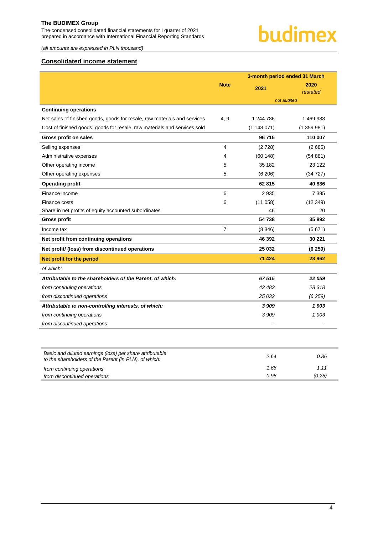The condensed consolidated financial statements for I quarter of 2021 prepared in accordance with International Financial Reporting Standards

*(all amounts are expressed in PLN thousand)*

# <span id="page-4-0"></span>**Consolidated income statement**

|                                                                                                                   |             | 3-month period ended 31 March |                  |  |  |
|-------------------------------------------------------------------------------------------------------------------|-------------|-------------------------------|------------------|--|--|
|                                                                                                                   | <b>Note</b> | 2021                          | 2020<br>restated |  |  |
|                                                                                                                   |             | not audited                   |                  |  |  |
| <b>Continuing operations</b>                                                                                      |             |                               |                  |  |  |
| Net sales of finished goods, goods for resale, raw materials and services                                         | 4, 9        | 1 244 786                     | 1469988          |  |  |
| Cost of finished goods, goods for resale, raw materials and services sold                                         |             | (1148071)                     | (1359981)        |  |  |
| Gross profit on sales                                                                                             |             | 96 715                        | 110 007          |  |  |
| Selling expenses                                                                                                  | 4           | (2728)                        | (2685)           |  |  |
| Administrative expenses                                                                                           | 4           | (60148)                       | (54881)          |  |  |
| Other operating income                                                                                            | 5           | 35 182                        | 23 122           |  |  |
| Other operating expenses                                                                                          | 5           | (6 206)                       | (34727)          |  |  |
| <b>Operating profit</b>                                                                                           |             | 62 815                        | 40 836           |  |  |
| Finance income                                                                                                    | 6           | 2935                          | 7 3 8 5          |  |  |
| Finance costs                                                                                                     | 6           | (11058)                       | (12349)          |  |  |
| Share in net profits of equity accounted subordinates                                                             |             | 46                            | 20               |  |  |
| <b>Gross profit</b>                                                                                               |             | 54 738                        | 35892            |  |  |
| Income tax                                                                                                        | 7           | (8346)                        | (5671)           |  |  |
| Net profit from continuing operations                                                                             |             | 46 392                        | 30 221           |  |  |
| Net profit/ (loss) from discontinued operations                                                                   |             | 25 032                        | (6259)           |  |  |
| Net profit for the period                                                                                         |             | 71 4 24                       | 23 962           |  |  |
| of which:                                                                                                         |             |                               |                  |  |  |
| Attributable to the shareholders of the Parent, of which:                                                         |             | 67515                         | 22 059           |  |  |
| from continuing operations                                                                                        |             | 42 483                        | 28 318           |  |  |
| from discontinued operations                                                                                      |             | 25 032                        | (6259)           |  |  |
| Attributable to non-controlling interests, of which:                                                              |             | 3 9 0 9                       | 1903             |  |  |
| from continuing operations                                                                                        |             | 3909                          | 1903             |  |  |
| from discontinued operations                                                                                      |             | $\overline{\phantom{a}}$      | $\overline{a}$   |  |  |
|                                                                                                                   |             |                               |                  |  |  |
| Basic and diluted earnings (loss) per share attributable<br>to the shareholders of the Parent (in PLN), of which: |             | 2.64                          | 0.86             |  |  |

| from continuing operations   | .6F |  |
|------------------------------|-----|--|
| from discontinued operations | -98 |  |
|                              |     |  |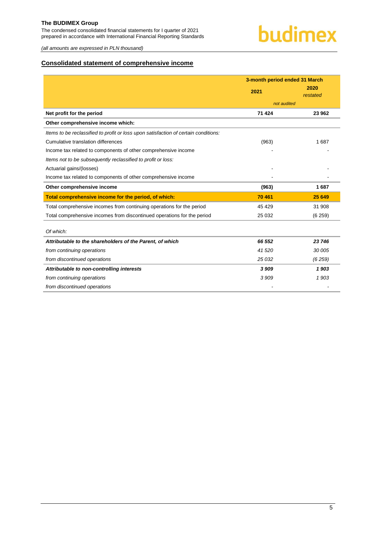The condensed consolidated financial statements for I quarter of 2021 prepared in accordance with International Financial Reporting Standards



*(all amounts are expressed in PLN thousand)*

# <span id="page-5-0"></span>**Consolidated statement of comprehensive income**

|                                                                                     | 3-month period ended 31 March |                  |
|-------------------------------------------------------------------------------------|-------------------------------|------------------|
|                                                                                     | 2021                          | 2020<br>restated |
|                                                                                     | not audited                   |                  |
| Net profit for the period                                                           | 71 4 24                       | 23 962           |
| Other comprehensive income which:                                                   |                               |                  |
| Items to be reclassified to profit or loss upon satisfaction of certain conditions: |                               |                  |
| Cumulative translation differences                                                  | (963)                         | 1687             |
| Income tax related to components of other comprehensive income                      |                               |                  |
| Items not to be subsequently reclassified to profit or loss:                        |                               |                  |
| Actuarial gains/(losses)                                                            |                               |                  |
| Income tax related to components of other comprehensive income                      |                               |                  |
| Other comprehensive income                                                          | (963)                         | 1687             |
| Total comprehensive income for the period, of which:                                | 70 461                        | 25 649           |
| Total comprehensive incomes from continuing operations for the period               | 45 4 29                       | 31 908           |
| Total comprehensive incomes from discontinued operations for the period             | 25 0 32                       | (6259)           |
| Of which:                                                                           |                               |                  |
| Attributable to the shareholders of the Parent, of which                            | 66 552                        | 23 746           |
| from continuing operations                                                          | 41 520                        | 30 005           |
| from discontinued operations                                                        | 25 032                        | (6259)           |
| Attributable to non-controlling interests                                           | 3 9 0 9                       | 1903             |
| from continuing operations                                                          | 3 9 0 9                       | 1903             |
| from discontinued operations                                                        |                               |                  |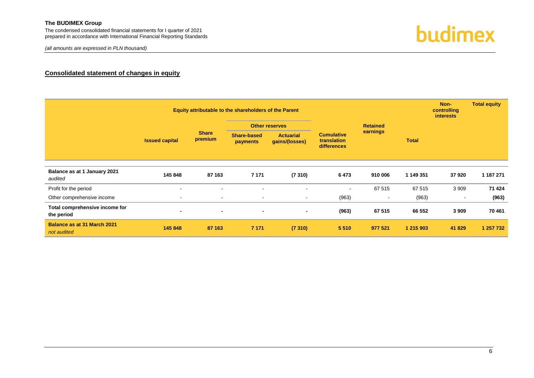The condensed consolidated financial statements for I quarter of 2021 prepared in accordance with International Financial Reporting Standards

*(all amounts are expressed in PLN thousand)*



## **Consolidated statement of changes in equity**

<span id="page-6-0"></span>

|                                                   |                       |                          | Equity attributable to the shareholders of the Parent |                                    |                                                 |                 |           | Non-<br>controlling<br><i>interests</i> | <b>Total equity</b> |  |  |
|---------------------------------------------------|-----------------------|--------------------------|-------------------------------------------------------|------------------------------------|-------------------------------------------------|-----------------|-----------|-----------------------------------------|---------------------|--|--|
|                                                   |                       |                          |                                                       | <b>Other reserves</b>              |                                                 | <b>Retained</b> |           |                                         |                     |  |  |
|                                                   | <b>Issued capital</b> | <b>Share</b><br>premium  | Share-based<br>payments                               | <b>Actuarial</b><br>gains/(losses) | <b>Cumulative</b><br>translation<br>differences |                 |           | earnings                                | <b>Total</b>        |  |  |
|                                                   |                       |                          |                                                       |                                    |                                                 |                 |           |                                         |                     |  |  |
| Balance as at 1 January 2021<br>audited           | 145 848               | 87 163                   | 7 1 7 1                                               | (7310)                             | 6473                                            | 910 006         | 1 149 351 | 37920                                   | 1 187 271           |  |  |
| Profit for the period                             | $\blacksquare$        | $\blacksquare$           | $\sim$                                                | $\blacksquare$                     | $\sim$                                          | 67 515          | 67 515    | 3 9 0 9                                 | 71 424              |  |  |
| Other comprehensive income                        | $\blacksquare$        | $\blacksquare$           | $\sim$                                                | $\sim$                             | (963)                                           | $\sim$          | (963)     | $\sim$                                  | (963)               |  |  |
| Total comprehensive income for<br>the period      | $\blacksquare$        | $\overline{\phantom{a}}$ | $\blacksquare$                                        | $\blacksquare$                     | (963)                                           | 67 515          | 66 552    | 3 9 0 9                                 | 70 461              |  |  |
| <b>Balance as at 31 March 2021</b><br>not audited | 145 848               | 87 163                   | 7 1 7 1                                               | (7310)                             | 5 5 1 0                                         | 977 521         | 1 215 903 | 41 829                                  | 1 257 732           |  |  |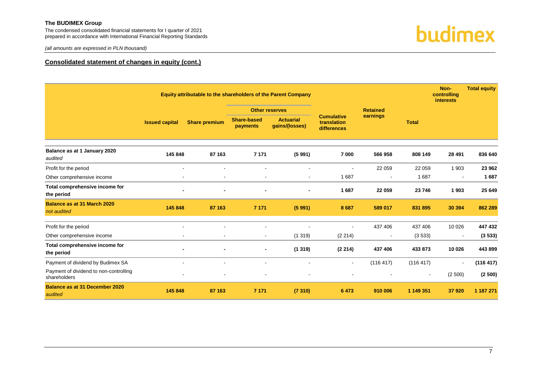The condensed consolidated financial statements for I quarter of 2021 prepared in accordance with International Financial Reporting Standards



*(all amounts are expressed in PLN thousand)*

#### **Consolidated statement of changes in equity (cont.)**

|                                                        | Equity attributable to the shareholders of the Parent Company |                              |                                |                                    |                                                 | Non-<br>controlling<br><b>interests</b> |              | <b>Total equity</b> |           |
|--------------------------------------------------------|---------------------------------------------------------------|------------------------------|--------------------------------|------------------------------------|-------------------------------------------------|-----------------------------------------|--------------|---------------------|-----------|
|                                                        |                                                               |                              | <b>Other reserves</b>          |                                    |                                                 | <b>Retained</b>                         |              |                     |           |
|                                                        | <b>Issued capital</b>                                         | <b>Share premium</b>         | <b>Share-based</b><br>payments | <b>Actuarial</b><br>gains/(losses) | <b>Cumulative</b><br>translation<br>differences | earnings                                | <b>Total</b> |                     |           |
| Balance as at 1 January 2020<br>audited                | 145 848                                                       | 87 163                       | 7 1 7 1                        | (5991)                             | 7 000                                           | 566 958                                 | 808 149      | 28 4 91             | 836 640   |
| Profit for the period                                  | $\blacksquare$                                                | $\blacksquare$               | $\blacksquare$                 |                                    | $\blacksquare$                                  | 22 059                                  | 22 059       | 1 9 0 3             | 23 962    |
| Other comprehensive income                             |                                                               | $\blacksquare$               | $\blacksquare$                 |                                    | 1687                                            | $\blacksquare$                          | 1687         |                     | 1687      |
| Total comprehensive income for<br>the period           | $\blacksquare$                                                |                              | $\blacksquare$                 |                                    | 1687                                            | 22 059                                  | 23 746       | 1903                | 25 649    |
| Balance as at 31 March 2020<br>not audited             | 145 848                                                       | 87 163                       | 7 1 7 1                        | (5991)                             | 8687                                            | 589 017                                 | 831 895      | 30 394              | 862 289   |
| Profit for the period                                  |                                                               |                              |                                |                                    |                                                 | 437 406                                 | 437 406      | 10 0 26             | 447 432   |
| Other comprehensive income                             | $\blacksquare$                                                | $\blacksquare$               | $\blacksquare$                 | (1319)                             | (2 214)                                         | $\sim$                                  | (3533)       | $\blacksquare$      | (3533)    |
| Total comprehensive income for<br>the period           |                                                               | $\qquad \qquad \blacksquare$ | $\blacksquare$                 | (1319)                             | (2214)                                          | 437 406                                 | 433 873      | 10 0 26             | 443 899   |
| Payment of dividend by Budimex SA                      | $\blacksquare$                                                | $\blacksquare$               | $\blacksquare$                 | $\sim$                             | $\blacksquare$                                  | (116 417)                               | (116 417)    | $\mathbf{r}$        | (116 417) |
| Payment of dividend to non-controlling<br>shareholders |                                                               |                              | -                              |                                    |                                                 |                                         |              | (2500)              | (2500)    |
| <b>Balance as at 31 December 2020</b><br>audited       | 145 848                                                       | 87 163                       | 7 1 7 1                        | (7310)                             | 6 4 7 3                                         | 910 006                                 | 1 149 351    | 37920               | 1 187 271 |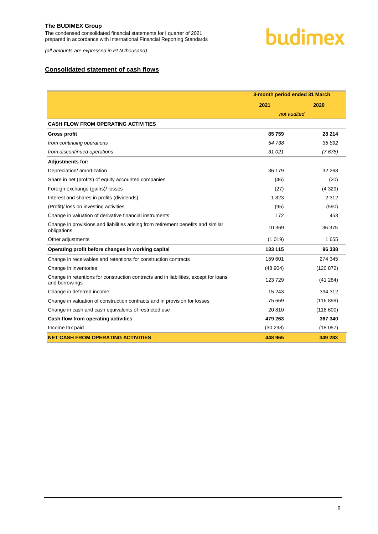The condensed consolidated financial statements for I quarter of 2021 prepared in accordance with International Financial Reporting Standards

# budimex

*(all amounts are expressed in PLN thousand)*

# <span id="page-8-0"></span>**Consolidated statement of cash flows**

|                                                                                                        | 3-month period ended 31 March |           |  |
|--------------------------------------------------------------------------------------------------------|-------------------------------|-----------|--|
|                                                                                                        | 2021                          | 2020      |  |
|                                                                                                        | not audited                   |           |  |
| <b>CASH FLOW FROM OPERATING ACTIVITIES</b>                                                             |                               |           |  |
| <b>Gross profit</b>                                                                                    | 85759                         | 28 214    |  |
| from continuing operations                                                                             | 54 738                        | 35892     |  |
| from discontinued operations                                                                           | 31 0 21                       | (7678)    |  |
| <b>Adjustments for:</b>                                                                                |                               |           |  |
| Depreciation/ amortization                                                                             | 36 179                        | 32 268    |  |
| Share in net (profits) of equity accounted companies                                                   | (46)                          | (20)      |  |
| Foreign exchange (gains)/ losses                                                                       | (27)                          | (4329)    |  |
| Interest and shares in profits (dividends)                                                             | 1823                          | 2 3 1 2   |  |
| (Profit)/ loss on investing activities                                                                 | (95)                          | (590)     |  |
| Change in valuation of derivative financial instruments                                                | 172                           | 453       |  |
| Change in provisions and liabilities arising from retirement benefits and similar<br>obligations       | 10 369                        | 36 375    |  |
| Other adjustments                                                                                      | (1019)                        | 1655      |  |
| Operating profit before changes in working capital                                                     | 133 115                       | 96 338    |  |
| Change in receivables and retentions for construction contracts                                        | 159 601                       | 274 345   |  |
| Change in inventories                                                                                  | (48904)                       | (120 872) |  |
| Change in retentions for construction contracts and in liabilities, except for loans<br>and borrowings | 123729                        | (41284)   |  |
| Change in deferred income                                                                              | 15 243                        | 394 312   |  |
| Change in valuation of construction contracts and in provision for losses                              | 75 669                        | (116 899) |  |
| Change in cash and cash equivalents of restricted use                                                  | 20810                         | (118600)  |  |
| Cash flow from operating activities                                                                    | 479 263                       | 367 340   |  |
| Income tax paid                                                                                        | (30298)                       | (18057)   |  |
| <b>NET CASH FROM OPERATING ACTIVITIES</b>                                                              | 448 965                       | 349 283   |  |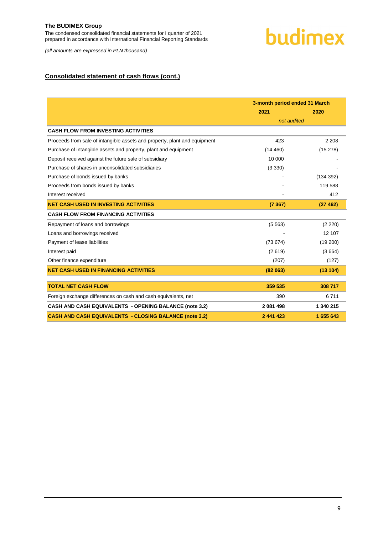*(all amounts are expressed in PLN thousand)*

# **Consolidated statement of cash flows (cont.)**

|                                                                           | 3-month period ended 31 March |           |  |
|---------------------------------------------------------------------------|-------------------------------|-----------|--|
|                                                                           | 2021                          | 2020      |  |
|                                                                           | not audited                   |           |  |
| <b>CASH FLOW FROM INVESTING ACTIVITIES</b>                                |                               |           |  |
| Proceeds from sale of intangible assets and property, plant and equipment | 423                           | 2 2 0 8   |  |
| Purchase of intangible assets and property, plant and equipment           | (14460)                       | (15278)   |  |
| Deposit received against the future sale of subsidiary                    | 10 000                        |           |  |
| Purchase of shares in unconsolidated subsidiaries                         | (3330)                        |           |  |
| Purchase of bonds issued by banks                                         |                               | (134392)  |  |
| Proceeds from bonds issued by banks                                       |                               | 119588    |  |
| Interest received                                                         |                               | 412       |  |
| <b>NET CASH USED IN INVESTING ACTIVITIES</b>                              | (7367)                        | (27462)   |  |
| <b>CASH FLOW FROM FINANCING ACTIVITIES</b>                                |                               |           |  |
| Repayment of loans and borrowings                                         | (5563)                        | (2 220)   |  |
| Loans and borrowings received                                             |                               | 12 107    |  |
| Payment of lease liabilities                                              | (73674)                       | (19 200)  |  |
| Interest paid                                                             | (2619)                        | (3664)    |  |
| Other finance expenditure                                                 | (207)                         | (127)     |  |
| <b>NET CASH USED IN FINANCING ACTIVITIES</b>                              | (82 063)                      | (13104)   |  |
|                                                                           |                               |           |  |
| <b>TOTAL NET CASH FLOW</b>                                                | 359 535                       | 308 717   |  |
| Foreign exchange differences on cash and cash equivalents, net            | 390                           | 6711      |  |
| <b>CASH AND CASH EQUIVALENTS - OPENING BALANCE (note 3.2)</b>             | 2 081 498                     | 1 340 215 |  |
| <b>CASH AND CASH EQUIVALENTS - CLOSING BALANCE (note 3.2)</b>             | 2 441 423                     | 1 655 643 |  |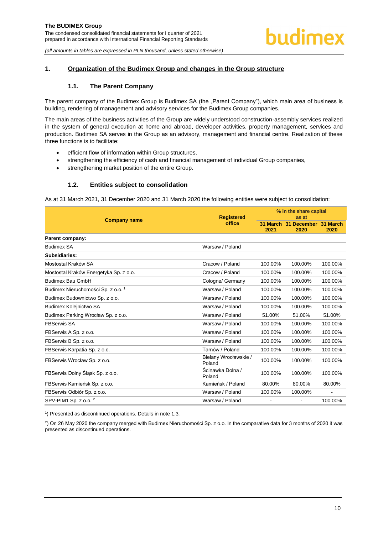## <span id="page-10-1"></span><span id="page-10-0"></span>**1. Organization of the Budimex Group and changes in the Group structure**

#### **1.1. The Parent Company**

The parent company of the Budimex Group is Budimex SA (the "Parent Company"), which main area of business is building, rendering of management and advisory services for the Budimex Group companies.

The main areas of the business activities of the Group are widely understood construction-assembly services realized in the system of general execution at home and abroad, developer activities, property management, services and production. Budimex SA serves in the Group as an advisory, management and financial centre. Realization of these three functions is to facilitate:

- efficient flow of information within Group structures,
- strengthening the efficiency of cash and financial management of individual Group companies,
- strengthening market position of the entire Group.

#### **1.2. Entities subject to consolidation**

<span id="page-10-2"></span>As at 31 March 2021, 31 December 2020 and 31 March 2020 the following entities were subject to consolidation:

| <b>Company name</b>                           | <b>Registered</b>               | % in the share capital<br>as at |                                       |         |  |
|-----------------------------------------------|---------------------------------|---------------------------------|---------------------------------------|---------|--|
|                                               | office                          | 2021                            | 31 March 31 December 31 March<br>2020 | 2020    |  |
| Parent company:                               |                                 |                                 |                                       |         |  |
| <b>Budimex SA</b>                             | Warsaw / Poland                 |                                 |                                       |         |  |
| Subsidiaries:                                 |                                 |                                 |                                       |         |  |
| Mostostal Kraków SA                           | Cracow / Poland                 | 100.00%                         | 100.00%                               | 100.00% |  |
| Mostostal Kraków Energetyka Sp. z o.o.        | Cracow / Poland                 | 100.00%                         | 100.00%                               | 100.00% |  |
| <b>Budimex Bau GmbH</b>                       | Cologne/ Germany                | 100.00%                         | 100.00%                               | 100.00% |  |
| Budimex Nieruchomości Sp. z o.o. <sup>1</sup> | Warsaw / Poland                 | 100.00%                         | 100.00%                               | 100.00% |  |
| Budimex Budownictwo Sp. z o.o.                | Warsaw / Poland                 | 100.00%                         | 100.00%                               | 100.00% |  |
| Budimex Kolejnictwo SA                        | Warsaw / Poland                 | 100.00%                         | 100.00%                               | 100.00% |  |
| Budimex Parking Wrocław Sp. z o.o.            | Warsaw / Poland                 | 51.00%                          | 51.00%                                | 51.00%  |  |
| <b>FBSerwis SA</b>                            | Warsaw / Poland                 | 100.00%                         | 100.00%                               | 100.00% |  |
| FBSerwis A Sp. z o.o.                         | Warsaw / Poland                 | 100.00%                         | 100.00%                               | 100.00% |  |
| FBSerwis B Sp. z o.o.                         | Warsaw / Poland                 | 100.00%                         | 100.00%                               | 100.00% |  |
| FBSerwis Karpatia Sp. z o.o.                  | Tarnów / Poland                 | 100.00%                         | 100.00%                               | 100.00% |  |
| FBSerwis Wrocław Sp. z o.o.                   | Bielany Wrocławskie /<br>Poland | 100.00%                         | 100.00%                               | 100.00% |  |
| FBSerwis Dolny Śląsk Sp. z o.o.               | Ścinawka Dolna /<br>Poland      | 100.00%                         | 100.00%                               | 100.00% |  |
| FBSerwis Kamieńsk Sp. z o.o.                  | Kamieńsk / Poland               | 80.00%                          | 80.00%                                | 80.00%  |  |
| FBSerwis Odbiór Sp. z o.o.                    | Warsaw / Poland                 | 100.00%                         | 100.00%                               |         |  |
| SPV-PIM1 Sp. z o.o. $2$                       | Warsaw / Poland                 |                                 |                                       | 100.00% |  |

<sup>1</sup>) Presented as discontinued operations. Details in note 1.3.

2 ) On 26 May 2020 the company merged with Budimex Nieruchomości Sp. z o.o. In the comparative data for 3 months of 2020 it was presented as discontinued operations.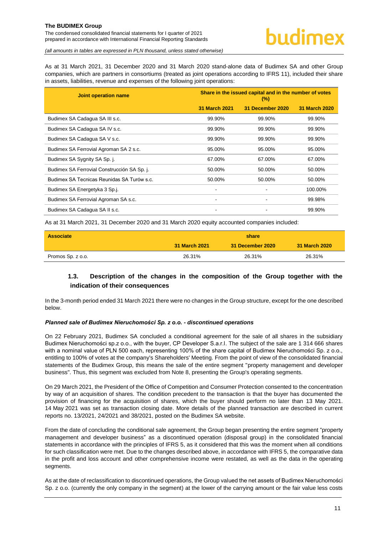The condensed consolidated financial statements for I quarter of 2021 prepared in accordance with International Financial Reporting Standards

*(all amounts in tables are expressed in PLN thousand, unless stated otherwise)*

As at 31 March 2021, 31 December 2020 and 31 March 2020 stand-alone data of Budimex SA and other Group companies, which are partners in consortiums (treated as joint operations according to IFRS 11), included their share in assets, liabilities, revenue and expenses of the following joint operations:

| <b>Joint operation name</b>                 | Share in the issued capital and in the number of votes<br>$(\%)$ |                  |                      |  |
|---------------------------------------------|------------------------------------------------------------------|------------------|----------------------|--|
|                                             | 31 March 2021                                                    | 31 December 2020 | <b>31 March 2020</b> |  |
| Budimex SA Cadagua SA III s.c.              | 99.90%                                                           | 99.90%           | 99.90%               |  |
| Budimex SA Cadagua SA IV s.c.               | 99.90%                                                           | 99.90%           | 99.90%               |  |
| Budimex SA Cadagua SA V s.c.                | 99.90%                                                           | 99.90%           | 99.90%               |  |
| Budimex SA Ferrovial Agroman SA 2 s.c.      | 95.00%                                                           | 95.00%           | 95.00%               |  |
| Budimex SA Sygnity SA Sp. j.                | 67.00%                                                           | 67.00%           | 67.00%               |  |
| Budimex SA Ferrovial Construcción SA Sp. j. | 50.00%                                                           | 50.00%           | 50.00%               |  |
| Budimex SA Tecnicas Reunidas SA Turów s.c.  | 50.00%                                                           | 50.00%           | 50.00%               |  |
| Budimex SA Energetyka 3 Sp.j.               |                                                                  |                  | 100.00%              |  |
| Budimex SA Ferrovial Agroman SA s.c.        |                                                                  |                  | 99.98%               |  |
| Budimex SA Cadagua SA II s.c.               |                                                                  |                  | 99.90%               |  |

As at 31 March 2021, 31 December 2020 and 31 March 2020 equity accounted companies included:

| <b>Associate</b>  | share         |                  |               |
|-------------------|---------------|------------------|---------------|
|                   | 31 March 2021 | 31 December 2020 | 31 March 2020 |
| Promos Sp. z o.o. | 26.31%        | 26.31%           | 26.31%        |

# <span id="page-11-0"></span>**1.3. Description of the changes in the composition of the Group together with the indication of their consequences**

In the 3-month period ended 31 March 2021 there were no changes in the Group structure, except for the one described below.

#### *Planned sale of Budimex Nieruchomości Sp. z o.o. - discontinued operations*

On 22 February 2021, Budimex SA concluded a conditional agreement for the sale of all shares in the subsidiary Budimex Nieruchomości sp.z o.o., with the buyer, CP Developer S.a.r.l. The subject of the sale are 1 314 666 shares with a nominal value of PLN 500 each, representing 100% of the share capital of Budimex Nieruchomości Sp. z o.o., entitling to 100% of votes at the company's Shareholders' Meeting. From the point of view of the consolidated financial statements of the Budimex Group, this means the sale of the entire segment "property management and developer business". Thus, this segment was excluded from Note 8, presenting the Group's operating segments.

On 29 March 2021, the President of the Office of Competition and Consumer Protection consented to the concentration by way of an acquisition of shares. The condition precedent to the transaction is that the buyer has documented the provision of financing for the acquisition of shares, which the buyer should perform no later than 13 May 2021. 14 May 2021 was set as transaction closing date. More details of the planned transaction are described in current reports no. 13/2021, 24/2021 and 38/2021, posted on the Budimex SA website.

From the date of concluding the conditional sale agreement, the Group began presenting the entire segment "property management and developer business" as a discontinued operation (disposal group) in the consolidated financial statements in accordance with the principles of IFRS 5, as it considered that this was the moment when all conditions for such classification were met. Due to the changes described above, in accordance with IFRS 5, the comparative data in the profit and loss account and other comprehensive income were restated, as well as the data in the operating segments.

As at the date of reclassification to discontinued operations, the Group valued the net assets of Budimex Nieruchomości Sp. z o.o. (currently the only company in the segment) at the lower of the carrying amount or the fair value less costs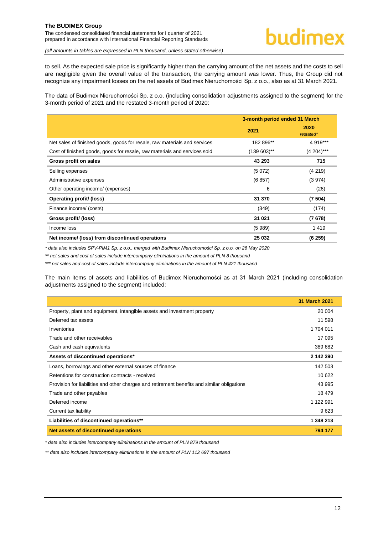The condensed consolidated financial statements for I quarter of 2021 prepared in accordance with International Financial Reporting Standards

# budimex

*(all amounts in tables are expressed in PLN thousand, unless stated otherwise)*

to sell. As the expected sale price is significantly higher than the carrying amount of the net assets and the costs to sell are negligible given the overall value of the transaction, the carrying amount was lower. Thus, the Group did not recognize any impairment losses on the net assets of Budimex Nieruchomości Sp. z o.o., also as at 31 March 2021.

The data of Budimex Nieruchomości Sp. z o.o. (including consolidation adjustments assigned to the segment) for the 3-month period of 2021 and the restated 3-month period of 2020:

|                                                                           | 3-month period ended 31 March |                   |  |
|---------------------------------------------------------------------------|-------------------------------|-------------------|--|
|                                                                           | 2021                          | 2020<br>restated* |  |
| Net sales of finished goods, goods for resale, raw materials and services | 182 896**                     | 4 919***          |  |
| Cost of finished goods, goods for resale, raw materials and services sold | $(139603)$ **                 | $(4204)***$       |  |
| Gross profit on sales                                                     | 43 293                        | 715               |  |
| Selling expenses                                                          | (5072)                        | (4219)            |  |
| Administrative expenses                                                   | (6857)                        | (3974)            |  |
| Other operating income/ (expenses)                                        | 6                             | (26)              |  |
| Operating profit/ (loss)                                                  | 31 370                        | (7504)            |  |
| Finance income/ (costs)                                                   | (349)                         | (174)             |  |
| Gross profit/ (loss)                                                      | 31 021                        | (7678)            |  |
| Income loss                                                               | (5989)                        | 1419              |  |
| Net income/ (loss) from discontinued operations                           | 25 032                        | (6259)            |  |

*\* data also includes SPV-PIM1 Sp. z o.o., merged with Budimex Nieruchomości Sp. z o.o. on 26 May 2020*

*\*\* net sales and cost of sales include intercompany eliminations in the amount of PLN 8 thousand*

*\*\*\* net sales and cost of sales include intercompany eliminations in the amount of PLN 421 thousand*

The main items of assets and liabilities of Budimex Nieruchomości as at 31 March 2021 (including consolidation adjustments assigned to the segment) included:

|                                                                                             | <b>31 March 2021</b> |
|---------------------------------------------------------------------------------------------|----------------------|
| Property, plant and equipment, intangible assets and investment property                    | 20 004               |
| Deferred tax assets                                                                         | 11 598               |
| Inventories                                                                                 | 1704 011             |
| Trade and other receivables                                                                 | 17 095               |
| Cash and cash equivalents                                                                   | 389 682              |
| Assets of discontinued operations*                                                          | 2 142 390            |
| Loans, borrowings and other external sources of finance                                     | 142 503              |
| Retentions for construction contracts - received                                            | 10 622               |
| Provision for liabilities and other charges and retirement benefits and similar obligations | 43 995               |
| Trade and other payables                                                                    | 18 479               |
| Deferred income                                                                             | 1 122 991            |
| Current tax liability                                                                       | 9623                 |
| Liabilities of discontinued operations**                                                    | 1 348 213            |
| Net assets of discontinued operations                                                       | 794 177              |

*\* data also includes intercompany eliminations in the amount of PLN 879 thousand*

*\*\* data also includes intercompany eliminations in the amount of PLN 112 697 thousand*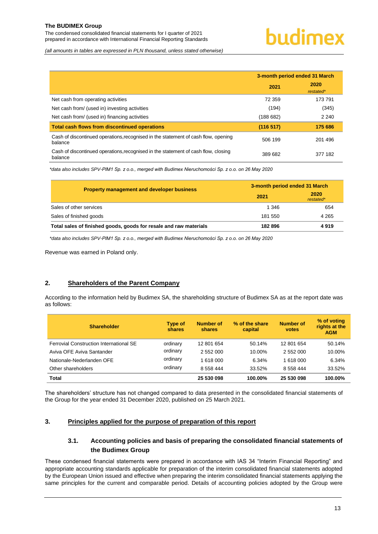The condensed consolidated financial statements for I quarter of 2021 prepared in accordance with International Financial Reporting Standards

*(all amounts in tables are expressed in PLN thousand, unless stated otherwise)*

|                                                                                               | 3-month period ended 31 March |                   |
|-----------------------------------------------------------------------------------------------|-------------------------------|-------------------|
|                                                                                               | 2021                          | 2020<br>restated* |
| Net cash from operating activities                                                            | 72 359                        | 173 791           |
| Net cash from/ (used in) investing activities                                                 | (194)                         | (345)             |
| Net cash from/ (used in) financing activities                                                 | (188682)                      | 2 2 4 0           |
| <b>Total cash flows from discontinued operations</b>                                          | (116517)                      | 175 686           |
| Cash of discontinued operations, recognised in the statement of cash flow, opening<br>balance | 506 199                       | 201496            |
| Cash of discontinued operations, recognised in the statement of cash flow, closing<br>balance | 389 682                       | 377 182           |

*\*data also includes SPV-PIM1 Sp. z o.o., merged with Budimex Nieruchomości Sp. z o.o. on 26 May 2020*

| <b>Property management and developer business</b>                 | 3-month period ended 31 March |                   |  |
|-------------------------------------------------------------------|-------------------------------|-------------------|--|
|                                                                   | 2021                          | 2020<br>restated* |  |
| Sales of other services                                           | 1 346                         | 654               |  |
| Sales of finished goods                                           | 181 550                       | 4 2 6 5           |  |
| Total sales of finished goods, goods for resale and raw materials | 182896                        | 4919              |  |

*\*data also includes SPV-PIM1 Sp. z o.o., merged with Budimex Nieruchomości Sp. z o.o. on 26 May 2020*

Revenue was earned in Poland only.

#### <span id="page-13-0"></span>**2. Shareholders of the Parent Company**

According to the information held by Budimex SA, the shareholding structure of Budimex SA as at the report date was as follows:

| <b>Shareholder</b>                             | Type of<br>shares | Number of<br>shares | % of the share<br>capital | <b>Number of</b><br>votes | % of voting<br>rights at the<br><b>AGM</b> |
|------------------------------------------------|-------------------|---------------------|---------------------------|---------------------------|--------------------------------------------|
| <b>Ferrovial Construction International SE</b> | ordinary          | 12 801 654          | 50.14%                    | 12 801 654                | 50.14%                                     |
| Aviva OFE Aviva Santander                      | ordinary          | 2 552 000           | 10.00%                    | 2 552 000                 | 10.00%                                     |
| Nationale-Nederlanden OFE                      | ordinary          | 1 618 000           | 6.34%                     | 1 618 000                 | 6.34%                                      |
| Other shareholders                             | ordinary          | 8 558 444           | 33.52%                    | 8 558 444                 | 33.52%                                     |
| <b>Total</b>                                   |                   | 25 530 098          | 100.00%                   | 25 530 098                | 100.00%                                    |

The shareholders' structure has not changed compared to data presented in the consolidated financial statements of the Group for the year ended 31 December 2020, published on 25 March 2021.

## <span id="page-13-2"></span><span id="page-13-1"></span>**3. Principles applied for the purpose of preparation of this report**

# **3.1. Accounting policies and basis of preparing the consolidated financial statements of the Budimex Group**

These condensed financial statements were prepared in accordance with IAS 34 "Interim Financial Reporting" and appropriate accounting standards applicable for preparation of the interim consolidated financial statements adopted by the European Union issued and effective when preparing the interim consolidated financial statements applying the same principles for the current and comparable period. Details of accounting policies adopted by the Group were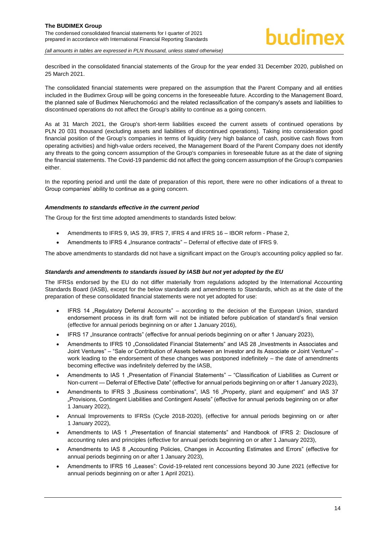#### **The BUDIMEX Group**  The condensed consolidated financial statements for I quarter of 2021 prepared in accordance with International Financial Reporting Standards

*(all amounts in tables are expressed in PLN thousand, unless stated otherwise)*

described in the consolidated financial statements of the Group for the year ended 31 December 2020, published on 25 March 2021.

The consolidated financial statements were prepared on the assumption that the Parent Company and all entities included in the Budimex Group will be going concerns in the foreseeable future. According to the Management Board, the planned sale of Budimex Nieruchomości and the related reclassification of the company's assets and liabilities to discontinued operations do not affect the Group's ability to continue as a going concern.

As at 31 March 2021, the Group's short-term liabilities exceed the current assets of continued operations by PLN 20 031 thousand (excluding assets and liabilities of discontinued operations). Taking into consideration good financial position of the Group's companies in terms of liquidity (very high balance of cash, positive cash flows from operating activities) and high-value orders received, the Management Board of the Parent Company does not identify any threats to the going concern assumption of the Group's companies in foreseeable future as at the date of signing the financial statements. The Covid-19 pandemic did not affect the going concern assumption of the Group's companies either.

In the reporting period and until the date of preparation of this report, there were no other indications of a threat to Group companies' ability to continue as a going concern.

#### *Amendments to standards effective in the current period*

The Group for the first time adopted amendments to standards listed below:

- Amendments to IFRS 9, IAS 39, IFRS 7, IFRS 4 and IFRS 16 IBOR reform Phase 2,
- Amendments to IFRS 4 . Insurance contracts" Deferral of effective date of IFRS 9.

The above amendments to standards did not have a significant impact on the Group's accounting policy applied so far.

#### *Standards and amendments to standards issued by IASB but not yet adopted by the EU*

The IFRSs endorsed by the EU do not differ materially from regulations adopted by the International Accounting Standards Board (IASB), except for the below standards and amendments to Standards, which as at the date of the preparation of these consolidated financial statements were not yet adopted for use:

- IFRS 14 "Regulatory Deferral Accounts" according to the decision of the European Union, standard endorsement process in its draft form will not be initiated before publication of standard's final version (effective for annual periods beginning on or after 1 January 2016),
- IFRS 17 "Insurance contracts" (effective for annual periods beginning on or after 1 January 2023),
- Amendments to IFRS 10 "Consolidated Financial Statements" and IAS 28 "Investments in Associates and Joint Ventures" – "Sale or Contribution of Assets between an Investor and its Associate or Joint Venture" – work leading to the endorsement of these changes was postponed indefinitely – the date of amendments becoming effective was indefinitely deferred by the IASB,
- Amendments to IAS 1 "Presentation of Financial Statements" "Classification of Liabilities as Current or Non-current — Deferral of Effective Date" (effective for annual periods beginning on or after 1 January 2023),
- Amendments to IFRS 3 "Business combinations", IAS 16 "Property, plant and equipment" and IAS 37 "Provisions, Contingent Liabilities and Contingent Assets" (effective for annual periods beginning on or after 1 January 2022),
- Annual Improvements to IFRSs (Cycle 2018-2020), (effective for annual periods beginning on or after 1 January 2022),
- Amendments to IAS 1 "Presentation of financial statements" and Handbook of IFRS 2: Disclosure of accounting rules and principles (effective for annual periods beginning on or after 1 January 2023),
- Amendments to IAS 8 "Accounting Policies, Changes in Accounting Estimates and Errors" (effective for annual periods beginning on or after 1 January 2023),
- Amendments to IFRS 16 "Leases": Covid-19-related rent concessions beyond 30 June 2021 (effective for annual periods beginning on or after 1 April 2021).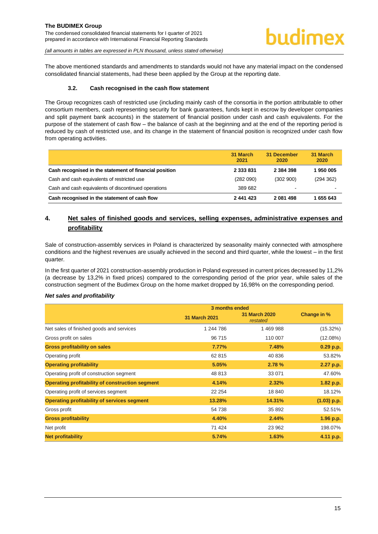The above mentioned standards and amendments to standards would not have any material impact on the condensed consolidated financial statements, had these been applied by the Group at the reporting date.

#### **3.2. Cash recognised in the cash flow statement**

<span id="page-15-0"></span>The Group recognizes cash of restricted use (including mainly cash of the consortia in the portion attributable to other consortium members, cash representing security for bank guarantees, funds kept in escrow by developer companies and split payment bank accounts) in the statement of financial position under cash and cash equivalents. For the purpose of the statement of cash flow – the balance of cash at the beginning and at the end of the reporting period is reduced by cash of restricted use, and its change in the statement of financial position is recognized under cash flow from operating activities.

|                                                        | 31 March<br>2021 | 31 December<br>2020 | 31 March<br>2020 |
|--------------------------------------------------------|------------------|---------------------|------------------|
| Cash recognised in the statement of financial position | 2 3 3 3 8 3 1    | 2 384 398           | 1950005          |
| Cash and cash equivalents of restricted use            | (282090)         | (302 900)           | (294 362)        |
| Cash and cash equivalents of discontinued operations   | 389 682          | -                   |                  |
| Cash recognised in the statement of cash flow          | 2 441 423        | 2 081 498           | 1 655 643        |

# <span id="page-15-1"></span>**4. Net sales of finished goods and services, selling expenses, administrative expenses and profitability**

Sale of construction-assembly services in Poland is characterized by seasonality mainly connected with atmosphere conditions and the highest revenues are usually achieved in the second and third quarter, while the lowest – in the first quarter.

In the first quarter of 2021 construction-assembly production in Poland expressed in current prices decreased by 11,2% (a decrease by 13,2% in fixed prices) compared to the corresponding period of the prior year, while sales of the construction segment of the Budimex Group on the home market dropped by 16,98% on the corresponding period.

#### *Net sales and profitability*

|                                                 | 3 months ended       |                                  |               |
|-------------------------------------------------|----------------------|----------------------------------|---------------|
|                                                 | <b>31 March 2021</b> | <b>31 March 2020</b><br>restated | Change in %   |
| Net sales of finished goods and services        | 1 244 786            | 1469988                          | $(15.32\%)$   |
| Gross profit on sales                           | 96 715               | 110 007                          | (12.08%)      |
| <b>Gross profitability on sales</b>             | 7.77%                | 7.48%                            | $0.29$ p.p.   |
| Operating profit                                | 62 815               | 40 836                           | 53.82%        |
| <b>Operating profitability</b>                  | 5.05%                | 2.78 %                           | 2.27 p.p.     |
| Operating profit of construction segment        | 48 813               | 33 071                           | 47.60%        |
| Operating profitability of construction segment | 4.14%                | 2.32%                            | 1.82 p.p.     |
| Operating profit of services segment            | 22 254               | 18 840                           | 18.12%        |
| Operating profitability of services segment     | 13.28%               | 14.31%                           | $(1.03)$ p.p. |
| Gross profit                                    | 54 738               | 35 892                           | 52.51%        |
| <b>Gross profitability</b>                      | 4.40%                | 2.44%                            | 1.96 p.p.     |
| Net profit                                      | 71 424               | 23 962                           | 198.07%       |
| <b>Net profitability</b>                        | 5.74%                | 1.63%                            | 4.11 p.p.     |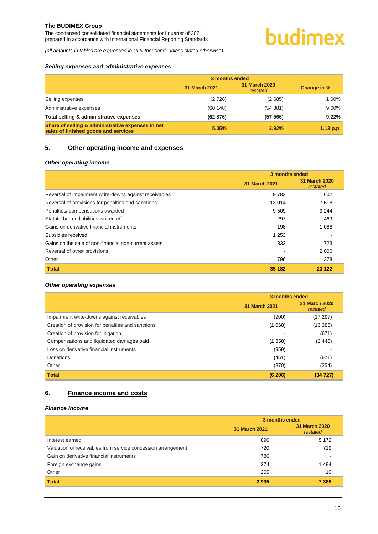The condensed consolidated financial statements for I quarter of 2021 prepared in accordance with International Financial Reporting Standards

*(all amounts in tables are expressed in PLN thousand, unless stated otherwise)*

#### *Selling expenses and administrative expenses*

|                                                                                           | 3 months ended |                                  |             |
|-------------------------------------------------------------------------------------------|----------------|----------------------------------|-------------|
|                                                                                           | 31 March 2021  | <b>31 March 2020</b><br>restated | Change in % |
| Selling expenses                                                                          | (2728)         | (2685)                           | 1.60%       |
| Administrative expenses                                                                   | (60148)        | (54881)                          | 9.60%       |
| Total selling & administrative expenses                                                   | (62 876)       | (57 566)                         | 9.22%       |
| Share of selling & administrative expenses in net<br>sales of finished goods and services | 5.05%          | 3.92%                            | $1.13$ p.p. |

## <span id="page-16-0"></span>**5. Other operating income and expenses**

#### *Other operating income*

|                                                        | 3 months ended |                           |  |
|--------------------------------------------------------|----------------|---------------------------|--|
|                                                        | 31 March 2021  | 31 March 2020<br>restated |  |
| Reversal of impairment write-downs against receivables | 9 7 8 3        | 1602                      |  |
| Reversal of provisions for penalties and sanctions     | 13014          | 7618                      |  |
| Penalties/compensations awarded                        | 9 5 0 9        | 9 2 4 4                   |  |
| Statute-barred liabilities written-off                 | 297            | 469                       |  |
| Gains on derivative financial instruments              | 198            | 1 0 8 8                   |  |
| Subsidies received                                     | 1 2 5 3        |                           |  |
| Gains on the sale of non-financial non-current assets  | 332            | 723                       |  |
| Reversal of other provisions                           |                | 2 0 0 0                   |  |
| Other                                                  | 796            | 378                       |  |
| <b>Total</b>                                           | 35 182         | 23 1 22                   |  |

#### *Other operating expenses*

|                                                   | 3 months ended |                                  |  |
|---------------------------------------------------|----------------|----------------------------------|--|
|                                                   | 31 March 2021  | <b>31 March 2020</b><br>restated |  |
| Impairment write-downs against receivables        | (900)          | (17297)                          |  |
| Creation of provision for penalties and sanctions | (1668)         | (13 386)                         |  |
| Creation of provision for litigation              |                | (671)                            |  |
| Compensations and liquidated damages paid         | (1358)         | (2448)                           |  |
| Loss on derivative financial instruments          | (959)          |                                  |  |
| Donations                                         | (451)          | (671)                            |  |
| Other                                             | (870)          | (254)                            |  |
| <b>Total</b>                                      | (6 206)        | (34727)                          |  |

# <span id="page-16-1"></span>**6. Finance income and costs**

## *Finance income*

|                                                              | 3 months ended |                                  |  |
|--------------------------------------------------------------|----------------|----------------------------------|--|
|                                                              | 31 March 2021  | <b>31 March 2020</b><br>restated |  |
| Interest earned                                              | 890            | 5 1 7 2                          |  |
| Valuation of receivables from service concession arrangement | 720            | 719                              |  |
| Gain on derivative financial instruments                     | 786            |                                  |  |
| Foreign exchange gains                                       | 274            | 1484                             |  |
| Other                                                        | 265            | 10                               |  |
| <b>Total</b>                                                 | 2935           | 7 3 8 5                          |  |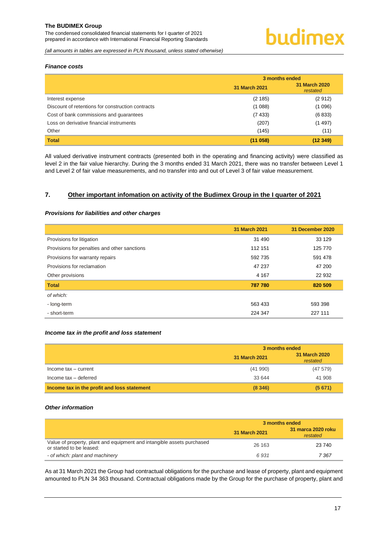The condensed consolidated financial statements for I quarter of 2021 prepared in accordance with International Financial Reporting Standards

*(all amounts in tables are expressed in PLN thousand, unless stated otherwise)*

#### *Finance costs*

|                                                   | 3 months ended |                                  |  |
|---------------------------------------------------|----------------|----------------------------------|--|
|                                                   | 31 March 2021  | <b>31 March 2020</b><br>restated |  |
| Interest expense                                  | (2 185)        | (2912)                           |  |
| Discount of retentions for construction contracts | (1088)         | (1096)                           |  |
| Cost of bank commissions and guarantees           | (7433)         | (6833)                           |  |
| Loss on derivative financial instruments          | (207)          | (1497)                           |  |
| Other                                             | (145)          | (11)                             |  |
| <b>Total</b>                                      | (11 058)       | (12349)                          |  |

All valued derivative instrument contracts (presented both in the operating and financing activity) were classified as level 2 in the fair value hierarchy. During the 3 months ended 31 March 2021, there was no transfer between Level 1 and Level 2 of fair value measurements, and no transfer into and out of Level 3 of fair value measurement.

#### <span id="page-17-0"></span>**7. Other important infomation on activity of the Budimex Group in the I quarter of 2021**

#### *Provisions for liabilities and other charges*

|                                              | 31 March 2021 | 31 December 2020 |
|----------------------------------------------|---------------|------------------|
| Provisions for litigation                    | 31 490        | 33 1 29          |
| Provisions for penalties and other sanctions | 112 151       | 125 770          |
| Provisions for warranty repairs              | 592 735       | 591 478          |
| Provisions for reclamation                   | 47 237        | 47 200           |
| Other provisions                             | 4 1 6 7       | 22 932           |
| <b>Total</b>                                 | 787 780       | 820 509          |
| of which:                                    |               |                  |
| - long-term                                  | 563 433       | 593 398          |
| - short-term                                 | 224 347       | 227 111          |

#### *Income tax in the profit and loss statement*

|                                             | 3 months ended |                           |  |
|---------------------------------------------|----------------|---------------------------|--|
|                                             | 31 March 2021  | 31 March 2020<br>restated |  |
| Income $tax - current$                      | (41990)        | (47579)                   |  |
| Income tax - deferred                       | 33 644         | 41 908                    |  |
| Income tax in the profit and loss statement | (8346)         | (5671)                    |  |

#### *Other information*

|                                                                                                    | 3 months ended |                                |  |
|----------------------------------------------------------------------------------------------------|----------------|--------------------------------|--|
|                                                                                                    | 31 March 2021  | 31 marca 2020 roku<br>restated |  |
| Value of property, plant and equipment and intangible assets purchased<br>or started to be leased: | 26 163         | 23 740                         |  |
| - of which: plant and machinery                                                                    | 6931           | 7 367                          |  |

As at 31 March 2021 the Group had contractual obligations for the purchase and lease of property, plant and equipment amounted to PLN 34 363 thousand. Contractual obligations made by the Group for the purchase of property, plant and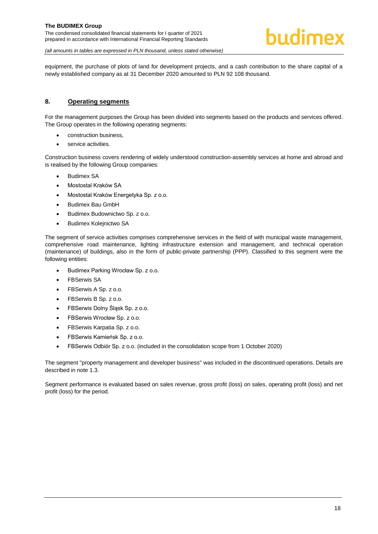

equipment, the purchase of plots of land for development projects, and a cash contribution to the share capital of a newly established company as at 31 December 2020 amounted to PLN 92 108 thousand.

### <span id="page-18-0"></span>**8. Operating segments**

For the management purposes the Group has been divided into segments based on the products and services offered. The Group operates in the following operating segments:

- construction business,
- service activities.

Construction business covers rendering of widely understood construction-assembly services at home and abroad and is realised by the following Group companies:

- Budimex SA
- Mostostal Kraków SA
- Mostostal Kraków Energetyka Sp. z o.o.
- Budimex Bau GmbH
- Budimex Budownictwo Sp. z o.o.
- Budimex Kolejnictwo SA

The segment of service activities comprises comprehensive services in the field of with municipal waste management, comprehensive road maintenance, lighting infrastructure extension and management, and technical operation (maintenance) of buildings, also in the form of public-private partnership (PPP). Classified to this segment were the following entities:

- Budimex Parking Wrocław Sp. z o.o.
- FBSerwis SA
- FBSerwis A Sp. z o.o.
- FBSerwis B Sp. z o.o.
- FBSerwis Dolny Śląsk Sp. z o.o.
- FBSerwis Wrocław Sp. z o.o.
- FBSerwis Karpatia Sp. z o.o.
- FBSerwis Kamieńsk Sp. z o.o.
- FBSerwis Odbiór Sp. z o.o. (included in the consolidation scope from 1 October 2020)

The segment "property management and developer business" was included in the discontinued operations. Details are described in note 1.3.

Segment performance is evaluated based on sales revenue, gross profit (loss) on sales, operating profit (loss) and net profit (loss) for the period.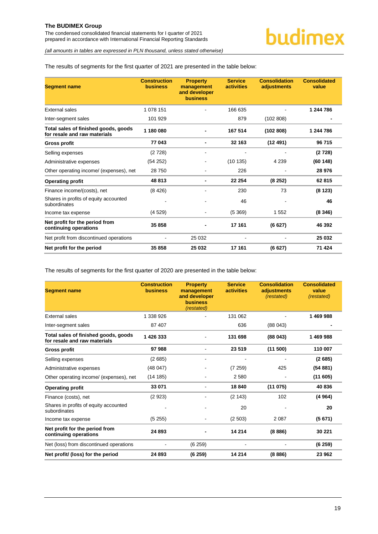The condensed consolidated financial statements for I quarter of 2021 prepared in accordance with International Financial Reporting Standards

*(all amounts in tables are expressed in PLN thousand, unless stated otherwise)*

#### The results of segments for the first quarter of 2021 are presented in the table below:

| <b>Segment name</b>                                                  | <b>Construction</b><br><b>business</b> | <b>Property</b><br>management<br>and developer<br><b>business</b> | <b>Service</b><br><b>activities</b> | <b>Consolidation</b><br>adjustments | <b>Consolidated</b><br>value |
|----------------------------------------------------------------------|----------------------------------------|-------------------------------------------------------------------|-------------------------------------|-------------------------------------|------------------------------|
| External sales                                                       | 1 078 151                              |                                                                   | 166 635                             |                                     | 1 244 786                    |
| Inter-segment sales                                                  | 101 929                                |                                                                   | 879                                 | (102 808)                           |                              |
| Total sales of finished goods, goods<br>for resale and raw materials | 1 180 080                              |                                                                   | 167 514                             | (102 808)                           | 1 244 786                    |
| <b>Gross profit</b>                                                  | 77 043                                 |                                                                   | 32 163                              | (12491)                             | 96 715                       |
| Selling expenses                                                     | (2728)                                 | $\qquad \qquad \blacksquare$                                      |                                     |                                     | (2728)                       |
| Administrative expenses                                              | (54252)                                |                                                                   | (10135)                             | 4 2 3 9                             | (60148)                      |
| Other operating income/ (expenses), net                              | 28750                                  |                                                                   | 226                                 |                                     | 28 976                       |
| <b>Operating profit</b>                                              | 48 813                                 |                                                                   | 22 254                              | (8252)                              | 62 815                       |
| Finance income/(costs), net                                          | (8426)                                 |                                                                   | 230                                 | 73                                  | (8123)                       |
| Shares in profits of equity accounted<br>subordinates                |                                        |                                                                   | 46                                  |                                     | 46                           |
| Income tax expense                                                   | (4529)                                 |                                                                   | (5369)                              | 1 552                               | (8346)                       |
| Net profit for the period from<br>continuing operations              | 35858                                  |                                                                   | 17 161                              | (6627)                              | 46 392                       |
| Net profit from discontinued operations                              |                                        | 25 0 32                                                           |                                     |                                     | 25 032                       |
| Net profit for the period                                            | 35 858                                 | 25 032                                                            | 17 161                              | (6627)                              | 71 424                       |

The results of segments for the first quarter of 2020 are presented in the table below:

| <b>Segment name</b>                                                  | <b>Construction</b><br><b>business</b> | <b>Property</b><br>management<br>and developer<br><b>business</b><br>(restated) | <b>Service</b><br><b>activities</b> | <b>Consolidation</b><br>adjustments<br><i>(restated)</i> | <b>Consolidated</b><br>value<br>(restated) |
|----------------------------------------------------------------------|----------------------------------------|---------------------------------------------------------------------------------|-------------------------------------|----------------------------------------------------------|--------------------------------------------|
| External sales                                                       | 1 338 926                              |                                                                                 | 131 062                             |                                                          | 1469988                                    |
| Inter-segment sales                                                  | 87 407                                 |                                                                                 | 636                                 | (88043)                                                  |                                            |
| Total sales of finished goods, goods<br>for resale and raw materials | 1 426 333                              |                                                                                 | 131 698                             | (88043)                                                  | 1469988                                    |
| <b>Gross profit</b>                                                  | 97988                                  |                                                                                 | 23 519                              | (11 500)                                                 | 110 007                                    |
| Selling expenses                                                     | (2685)                                 | $\blacksquare$                                                                  |                                     |                                                          | (2685)                                     |
| Administrative expenses                                              | (48047)                                | $\qquad \qquad \blacksquare$                                                    | (7259)                              | 425                                                      | (54881)                                    |
| Other operating income/ (expenses), net                              | (14185)                                | ٠                                                                               | 2 5 8 0                             |                                                          | (11605)                                    |
| <b>Operating profit</b>                                              | 33 071                                 |                                                                                 | 18 840                              | (11075)                                                  | 40 836                                     |
| Finance (costs), net                                                 | (2923)                                 |                                                                                 | (2143)                              | 102                                                      | (4964)                                     |
| Shares in profits of equity accounted<br>subordinates                |                                        |                                                                                 | 20                                  |                                                          | 20                                         |
| Income tax expense                                                   | (5255)                                 |                                                                                 | (2 503)                             | 2 0 8 7                                                  | (5671)                                     |
| Net profit for the period from<br>continuing operations              | 24893                                  |                                                                                 | 14 214                              | (8886)                                                   | 30 221                                     |
| Net (loss) from discontinued operations                              |                                        | (6259)                                                                          |                                     |                                                          | (6259)                                     |
| Net profit/ (loss) for the period                                    | 24 893                                 | (6259)                                                                          | 14 214                              | (8886)                                                   | 23 962                                     |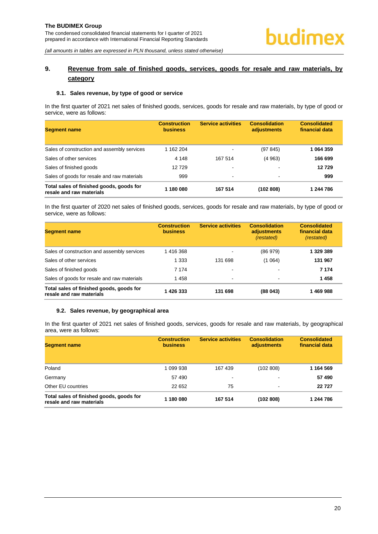# <span id="page-20-0"></span>**9. Revenue from sale of finished goods, services, goods for resale and raw materials, by category**

#### <span id="page-20-1"></span>**9.1. Sales revenue, by type of good or service**

In the first quarter of 2021 net sales of finished goods, services, goods for resale and raw materials, by type of good or service, were as follows:

| <b>Segment name</b>                                                  | <b>Construction</b><br><b>business</b> | <b>Service activities</b> | <b>Consolidation</b><br>adjustments | <b>Consolidated</b><br>financial data |
|----------------------------------------------------------------------|----------------------------------------|---------------------------|-------------------------------------|---------------------------------------|
| Sales of construction and assembly services                          | 1 162 204                              |                           | (97845)                             | 1 064 359                             |
| Sales of other services                                              | 4 1 4 8                                | 167 514                   | (4963)                              | 166 699                               |
| Sales of finished goods                                              | 12729                                  |                           |                                     | 12729                                 |
| Sales of goods for resale and raw materials                          | 999                                    | $\blacksquare$            | $\blacksquare$                      | 999                                   |
| Total sales of finished goods, goods for<br>resale and raw materials | 1 180 080                              | 167 514                   | (102 808)                           | 1 244 786                             |

In the first quarter of 2020 net sales of finished goods, services, goods for resale and raw materials, by type of good or service, were as follows:

| <b>Segment name</b>                                                  | <b>Construction</b><br><b>business</b> | <b>Service activities</b> | <b>Consolidation</b><br>adjustments<br>(restated) | <b>Consolidated</b><br>financial data<br><i>(restated)</i> |
|----------------------------------------------------------------------|----------------------------------------|---------------------------|---------------------------------------------------|------------------------------------------------------------|
| Sales of construction and assembly services                          | 1416368                                |                           | (86979)                                           | 1 329 389                                                  |
| Sales of other services                                              | 1 3 3 3                                | 131 698                   | (1064)                                            | 131 967                                                    |
| Sales of finished goods                                              | 7 174                                  |                           |                                                   | 7 1 7 4                                                    |
| Sales of goods for resale and raw materials                          | 1458                                   | ۰                         | $\overline{\phantom{0}}$                          | 1458                                                       |
| Total sales of finished goods, goods for<br>resale and raw materials | 426 333                                | 131 698                   | (88043)                                           | 1469988                                                    |

#### <span id="page-20-2"></span>**9.2. Sales revenue, by geographical area**

In the first quarter of 2021 net sales of finished goods, services, goods for resale and raw materials, by geographical area, were as follows:

| <b>Segment name</b>                                                  | <b>Construction</b><br><b>business</b> | <b>Service activities</b> | <b>Consolidation</b><br>adjustments | <b>Consolidated</b><br>financial data |
|----------------------------------------------------------------------|----------------------------------------|---------------------------|-------------------------------------|---------------------------------------|
| Poland                                                               | 1 099 938                              | 167 439                   | (102 808)                           | 1 164 569                             |
| Germany                                                              | 57 490                                 | -                         |                                     | 57490                                 |
| Other EU countries                                                   | 22 652                                 | 75                        | $\overline{\phantom{a}}$            | 22727                                 |
| Total sales of finished goods, goods for<br>resale and raw materials | 1 180 080                              | 167 514                   | (102 808)                           | 1 244 786                             |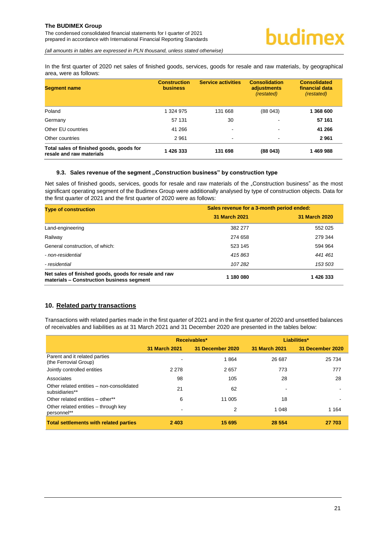The condensed consolidated financial statements for I quarter of 2021 prepared in accordance with International Financial Reporting Standards

*(all amounts in tables are expressed in PLN thousand, unless stated otherwise)*

In the first quarter of 2020 net sales of finished goods, services, goods for resale and raw materials, by geographical area, were as follows:

| <b>Segment name</b>                                                  | <b>Construction</b><br><b>business</b> | <b>Service activities</b> | <b>Consolidation</b><br>adjustments<br><i>(restated)</i> | <b>Consolidated</b><br>financial data<br><i>(restated)</i> |
|----------------------------------------------------------------------|----------------------------------------|---------------------------|----------------------------------------------------------|------------------------------------------------------------|
| Poland                                                               | 1 324 975                              | 131 668                   | (88043)                                                  | 1 368 600                                                  |
| Germany                                                              | 57 131                                 | 30                        |                                                          | 57 161                                                     |
| Other EU countries                                                   | 41 266                                 | ۰                         | $\overline{\phantom{0}}$                                 | 41 266                                                     |
| Other countries                                                      | 2961                                   | ۰                         | $\overline{\phantom{0}}$                                 | 2961                                                       |
| Total sales of finished goods, goods for<br>resale and raw materials | 1 426 333                              | 131 698                   | (88043)                                                  | 1469988                                                    |

#### <span id="page-21-0"></span>**9.3. Sales revenue of the segment "Construction business" by construction type**

Net sales of finished goods, services, goods for resale and raw materials of the "Construction business" as the most significant operating segment of the Budimex Group were additionally analysed by type of construction objects. Data for the first quarter of 2021 and the first quarter of 2020 were as follows:

| <b>Type of construction</b>                                                                        | Sales revenue for a 3-month period ended: |               |  |
|----------------------------------------------------------------------------------------------------|-------------------------------------------|---------------|--|
|                                                                                                    | 31 March 2021                             | 31 March 2020 |  |
| Land-engineering                                                                                   | 382 277                                   | 552 025       |  |
| Railway                                                                                            | 274 658                                   | 279 344       |  |
| General construction, of which:                                                                    | 523 145                                   | 594 964       |  |
| - non-residential                                                                                  | 415863                                    | 441461        |  |
| - residential                                                                                      | 107282                                    | 153 503       |  |
| Net sales of finished goods, goods for resale and raw<br>materials - Construction business segment | 1 180 080                                 | 1426333       |  |

## <span id="page-21-1"></span>**10. Related party transactions**

Transactions with related parties made in the first quarter of 2021 and in the first quarter of 2020 and unsettled balances of receivables and liabilities as at 31 March 2021 and 31 December 2020 are presented in the tables below:

|                                                             | Receivables*         |                  | Liabilities*  |                  |
|-------------------------------------------------------------|----------------------|------------------|---------------|------------------|
|                                                             | <b>31 March 2021</b> | 31 December 2020 | 31 March 2021 | 31 December 2020 |
| Parent and it related parties<br>(the Ferrovial Group)      |                      | 1864             | 26 687        | 25 7 34          |
| Jointly controlled entities                                 | 2 2 7 8              | 2657             | 773           | 777              |
| Associates                                                  | 98                   | 105              | 28            | 28               |
| Other related entities - non-consolidated<br>subsidiaries** | 21                   | 62               | -             |                  |
| Other related entities – other**                            | 6                    | 11 005           | 18            |                  |
| Other related entities – through key<br>personnel**         |                      | 2                | 1 0 4 8       | 1 1 6 4          |
| <b>Total settlements with related parties</b>               | 2 4 0 3              | 15 695           | 28 5 54       | 27 703           |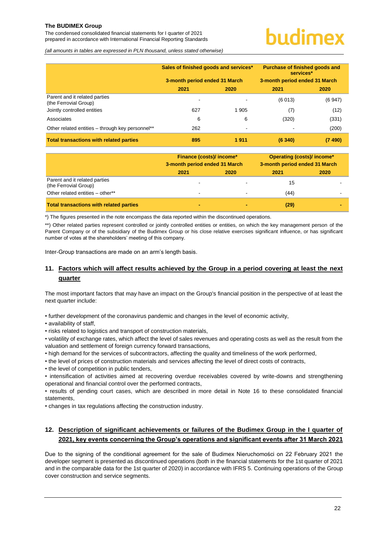The condensed consolidated financial statements for I quarter of 2021 prepared in accordance with International Financial Reporting Standards

# urdimex

*(all amounts in tables are expressed in PLN thousand, unless stated otherwise)*

|                                                        | Sales of finished goods and services* |         | Purchase of finished goods and<br>services* |        |  |
|--------------------------------------------------------|---------------------------------------|---------|---------------------------------------------|--------|--|
|                                                        | 3-month period ended 31 March         |         | 3-month period ended 31 March               |        |  |
|                                                        | 2021                                  | 2020    | 2021                                        | 2020   |  |
| Parent and it related parties<br>(the Ferrovial Group) |                                       |         | (6013)                                      | (6947) |  |
| Jointly controlled entities                            | 627                                   | 1 9 0 5 | (7)                                         | (12)   |  |
| Associates                                             | 6                                     | 6       | (320)                                       | (331)  |  |
| Other related entities - through key personnel**       | 262                                   |         | $\,$                                        | (200)  |  |
| <b>Total transactions with related parties</b>         | 895                                   | 1911    | (6340)                                      | (7490) |  |

|                                                        | <b>Finance (costs)/ income*</b><br>3-month period ended 31 March |      | Operating (costs)/ income*<br>3-month period ended 31 March |      |
|--------------------------------------------------------|------------------------------------------------------------------|------|-------------------------------------------------------------|------|
|                                                        | 2021                                                             | 2020 | 2021                                                        | 2020 |
| Parent and it related parties<br>(the Ferrovial Group) |                                                                  |      | 15                                                          |      |
| Other related entities - other**                       | $\overline{\phantom{a}}$                                         |      | (44)                                                        |      |
| <b>Total transactions with related parties</b>         | -                                                                |      | (29)                                                        |      |

\*) The figures presented in the note encompass the data reported within the discontinued operations.

\*\*) Other related parties represent controlled or jointly controlled entities or entities, on which the key management person of the Parent Company or of the subsidiary of the Budimex Group or his close relative exercises significant influence, or has significant number of votes at the shareholders' meeting of this company.

Inter-Group transactions are made on an arm's length basis.

# <span id="page-22-0"></span>**11. Factors which will affect results achieved by the Group in a period covering at least the next quarter**

The most important factors that may have an impact on the Group's financial position in the perspective of at least the next quarter include:

• further development of the coronavirus pandemic and changes in the level of economic activity,

• availability of staff,

• risks related to logistics and transport of construction materials,

• volatility of exchange rates, which affect the level of sales revenues and operating costs as well as the result from the valuation and settlement of foreign currency forward transactions,

• high demand for the services of subcontractors, affecting the quality and timeliness of the work performed,

• the level of prices of construction materials and services affecting the level of direct costs of contracts,

• the level of competition in public tenders,

• intensification of activities aimed at recovering overdue receivables covered by write-downs and strengthening operational and financial control over the performed contracts,

• results of pending court cases, which are described in more detail in Note 16 to these consolidated financial statements,

• changes in tax regulations affecting the construction industry.

# <span id="page-22-1"></span>**12. Description of significant achievements or failures of the Budimex Group in the I quarter of 2021, key events concerning the Group's operations and significant events after 31 March 2021**

Due to the signing of the conditional agreement for the sale of Budimex Nieruchomości on 22 February 2021 the developer segment is presented as discontinued operations (both in the financial statements for the 1st quarter of 2021 and in the comparable data for the 1st quarter of 2020) in accordance with IFRS 5. Continuing operations of the Group cover construction and service segments.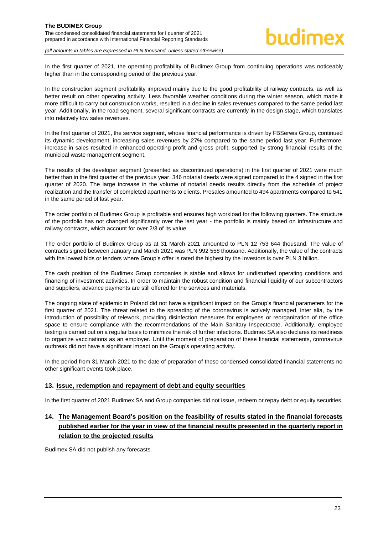In the first quarter of 2021, the operating profitability of Budimex Group from continuing operations was noticeably higher than in the corresponding period of the previous year.

In the construction segment profitability improved mainly due to the good profitability of railway contracts, as well as better result on other operating activity. Less favorable weather conditions during the winter season, which made it more difficult to carry out construction works, resulted in a decline in sales revenues compared to the same period last year. Additionally, in the road segment, several significant contracts are currently in the design stage, which translates into relatively low sales revenues.

In the first quarter of 2021, the service segment, whose financial performance is driven by FBSerwis Group, continued its dynamic development, increasing sales revenues by 27% compared to the same period last year. Furthermore, increase in sales resulted in enhanced operating profit and gross profit, supported by strong financial results of the municipal waste management segment.

The results of the developer segment (presented as discontinued operations) in the first quarter of 2021 were much better than in the first quarter of the previous year. 346 notarial deeds were signed compared to the 4 signed in the first quarter of 2020. The large increase in the volume of notarial deeds results directly from the schedule of project realization and the transfer of completed apartments to clients. Presales amounted to 494 apartments compared to 541 in the same period of last year.

The order portfolio of Budimex Group is profitable and ensures high workload for the following quarters. The structure of the portfolio has not changed significantly over the last year - the portfolio is mainly based on infrastructure and railway contracts, which account for over 2/3 of its value.

The order portfolio of Budimex Group as at 31 March 2021 amounted to PLN 12 753 644 thousand. The value of contracts signed between January and March 2021 was PLN 992 558 thousand. Additionally, the value of the contracts with the lowest bids or tenders where Group's offer is rated the highest by the Investors is over PLN 3 billion.

The cash position of the Budimex Group companies is stable and allows for undisturbed operating conditions and financing of investment activities. In order to maintain the robust condition and financial liquidity of our subcontractors and suppliers, advance payments are still offered for the services and materials.

The ongoing state of epidemic in Poland did not have a significant impact on the Group's financial parameters for the first quarter of 2021. The threat related to the spreading of the coronavirus is actively managed, inter alia, by the introduction of possibility of telework, providing disinfection measures for employees or reorganization of the office space to ensure compliance with the recommendations of the Main Sanitary Inspectorate. Additionally, employee testing is carried out on a regular basis to minimize the risk of further infections. Budimex SA also declares its readiness to organize vaccinations as an employer. Until the moment of preparation of these financial statements, coronavirus outbreak did not have a significant impact on the Group's operating activity.

In the period from 31 March 2021 to the date of preparation of these condensed consolidated financial statements no other significant events took place.

#### <span id="page-23-0"></span>**13. Issue, redemption and repayment of debt and equity securities**

In the first quarter of 2021 Budimex SA and Group companies did not issue, redeem or repay debt or equity securities.

# <span id="page-23-1"></span>**14. The Management Board's position on the feasibility of results stated in the financial forecasts published earlier for the year in view of the financial results presented in the quarterly report in relation to the projected results**

Budimex SA did not publish any forecasts.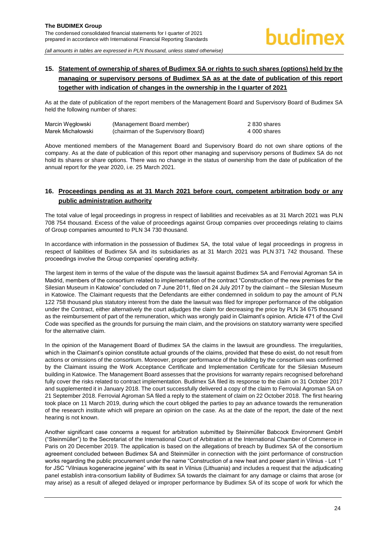# <span id="page-24-0"></span>**15. Statement of ownership of shares of Budimex SA or rights to such shares (options) held by the managing or supervisory persons of Budimex SA as at the date of publication of this report together with indication of changes in the ownership in the I quarter of 2021**

As at the date of publication of the report members of the Management Board and Supervisory Board of Budimex SA held the following number of shares:

| Marcin Wegłowski  | (Management Board member)           | 2 830 shares |
|-------------------|-------------------------------------|--------------|
| Marek Michałowski | (chairman of the Supervisory Board) | 4 000 shares |

Above mentioned members of the Management Board and Supervisory Board do not own share options of the company. As at the date of publication of this report other managing and supervisory persons of Budimex SA do not hold its shares or share options. There was no change in the status of ownership from the date of publication of the annual report for the year 2020, i.e. 25 March 2021.

# <span id="page-24-1"></span>**16. Proceedings pending as at 31 March 2021 before court, competent arbitration body or any public administration authority**

The total value of legal proceedings in progress in respect of liabilities and receivables as at 31 March 2021 was PLN 708 754 thousand. Excess of the value of proceedings against Group companies over proceedings relating to claims of Group companies amounted to PLN 34 730 thousand.

In accordance with information in the possession of Budimex SA, the total value of legal proceedings in progress in respect of liabilities of Budimex SA and its subsidiaries as at 31 March 2021 was PLN 371 742 thousand. These proceedings involve the Group companies' operating activity.

The largest item in terms of the value of the dispute was the lawsuit against Budimex SA and Ferrovial Agroman SA in Madrid, members of the consortium related to implementation of the contract "Construction of the new premises for the Silesian Museum in Katowice" concluded on 7 June 2011, filed on 24 July 2017 by the claimant – the Silesian Museum in Katowice. The Claimant requests that the Defendants are either condemned in solidum to pay the amount of PLN 122 758 thousand plus statutory interest from the date the lawsuit was filed for improper performance of the obligation under the Contract, either alternatively the court adjudges the claim for decreasing the price by PLN 34 675 thousand as the reimbursement of part of the remuneration, which was wrongly paid in Claimant's opinion. Article 471 of the Civil Code was specified as the grounds for pursuing the main claim, and the provisions on statutory warranty were specified for the alternative claim.

In the opinion of the Management Board of Budimex SA the claims in the lawsuit are groundless. The irregularities, which in the Claimant's opinion constitute actual grounds of the claims, provided that these do exist, do not result from actions or omissions of the consortium. Moreover, proper performance of the building by the consortium was confirmed by the Claimant issuing the Work Acceptance Certificate and Implementation Certificate for the Silesian Museum building in Katowice. The Management Board assesses that the provisions for warranty repairs recognised beforehand fully cover the risks related to contract implementation. Budimex SA filed its response to the claim on 31 October 2017 and supplemented it in January 2018. The court successfully delivered a copy of the claim to Ferrovial Agroman SA on 21 September 2018. Ferrovial Agroman SA filed a reply to the statement of claim on 22 October 2018. The first hearing took place on 11 March 2019, during which the court obliged the parties to pay an advance towards the remuneration of the research institute which will prepare an opinion on the case. As at the date of the report, the date of the next hearing is not known.

Another significant case concerns a request for arbitration submitted by Steinmüller Babcock Environment GmbH ("Steinmüller") to the Secretariat of the International Court of Arbitration at the International Chamber of Commerce in Paris on 20 December 2019. The application is based on the allegations of breach by Budimex SA of the consortium agreement concluded between Budimex SA and Steinmüller in connection with the joint performance of construction works regarding the public procurement under the name "Construction of a new heat and power plant in Vilnius - Lot 1" for JSC "Vilniaus kogeneracine jegaine" with its seat in Vilnius (Lithuania) and includes a request that the adjudicating panel establish intra-consortium liability of Budimex SA towards the claimant for any damage or claims that arose (or may arise) as a result of alleged delayed or improper performance by Budimex SA of its scope of work for which the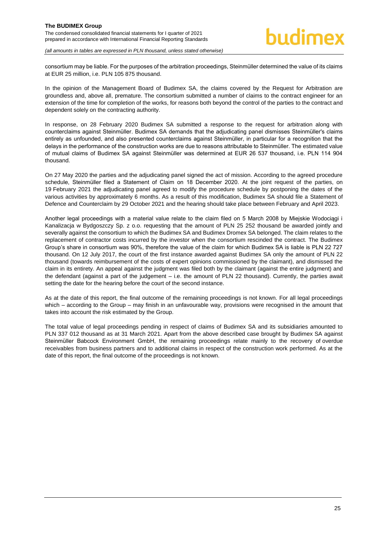consortium may be liable. For the purposes of the arbitration proceedings, Steinmüller determined the value of its claims at EUR 25 million, i.e. PLN 105 875 thousand.

In the opinion of the Management Board of Budimex SA, the claims covered by the Request for Arbitration are groundless and, above all, premature. The consortium submitted a number of claims to the contract engineer for an extension of the time for completion of the works, for reasons both beyond the control of the parties to the contract and dependent solely on the contracting authority.

In response, on 28 February 2020 Budimex SA submitted a response to the request for arbitration along with counterclaims against Steinmüller. Budimex SA demands that the adjudicating panel dismisses Steinmüller's claims entirely as unfounded, and also presented counterclaims against Steinmüller, in particular for a recognition that the delays in the performance of the construction works are due to reasons attributable to Steinmüller. The estimated value of mutual claims of Budimex SA against Steinmüller was determined at EUR 26 537 thousand, i.e. PLN 114 904 thousand.

On 27 May 2020 the parties and the adjudicating panel signed the act of mission. According to the agreed procedure schedule, Steinmüller filed a Statement of Claim on 18 December 2020. At the joint request of the parties, on 19 February 2021 the adjudicating panel agreed to modify the procedure schedule by postponing the dates of the various activities by approximately 6 months. As a result of this modification, Budimex SA should file a Statement of Defence and Counterclaim by 29 October 2021 and the hearing should take place between February and April 2023.

Another legal proceedings with a material value relate to the claim filed on 5 March 2008 by Miejskie Wodociągi i Kanalizacja w Bydgoszczy Sp. z o.o. requesting that the amount of PLN 25 252 thousand be awarded jointly and severally against the consortium to which the Budimex SA and Budimex Dromex SA belonged. The claim relates to the replacement of contractor costs incurred by the investor when the consortium rescinded the contract. The Budimex Group's share in consortium was 90%, therefore the value of the claim for which Budimex SA is liable is PLN 22 727 thousand. On 12 July 2017, the court of the first instance awarded against Budimex SA only the amount of PLN 22 thousand (towards reimbursement of the costs of expert opinions commissioned by the claimant), and dismissed the claim in its entirety. An appeal against the judgment was filed both by the claimant (against the entire judgment) and the defendant (against a part of the judgement – i.e. the amount of PLN 22 thousand). Currently, the parties await setting the date for the hearing before the court of the second instance.

As at the date of this report, the final outcome of the remaining proceedings is not known. For all legal proceedings which – according to the Group – may finish in an unfavourable way, provisions were recognised in the amount that takes into account the risk estimated by the Group.

The total value of legal proceedings pending in respect of claims of Budimex SA and its subsidiaries amounted to PLN 337 012 thousand as at 31 March 2021. Apart from the above described case brought by Budimex SA against Steinmüller Babcock Environment GmbH, the remaining proceedings relate mainly to the recovery of overdue receivables from business partners and to additional claims in respect of the construction work performed. As at the date of this report, the final outcome of the proceedings is not known.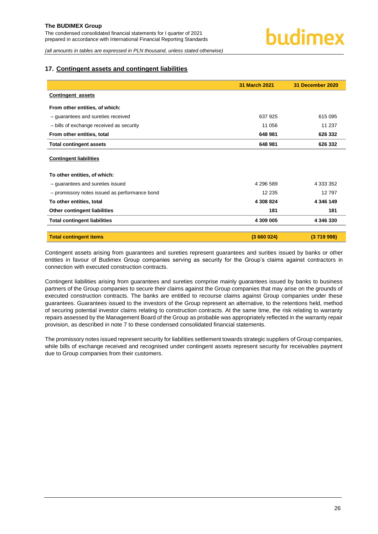#### <span id="page-26-0"></span>**17. Contingent assets and contingent liabilities**

|                                               | 31 March 2021 | 31 December 2020 |
|-----------------------------------------------|---------------|------------------|
| <b>Contingent assets</b>                      |               |                  |
| From other entities, of which:                |               |                  |
| - guarantees and sureties received            | 637 925       | 615 095          |
| - bills of exchange received as security      | 11 056        | 11 237           |
| From other entities, total                    | 648 981       | 626 332          |
| <b>Total contingent assets</b>                | 648 981       | 626 332          |
| <b>Contingent liabilities</b>                 |               |                  |
| To other entities, of which:                  |               |                  |
| - guarantees and sureties issued              | 4 296 589     | 4 333 352        |
| - promissory notes issued as performance bond | 12 2 35       | 12797            |
| To other entities, total                      | 4 308 824     | 4 346 149        |
| Other contingent liabilities                  | 181           | 181              |
| <b>Total contingent liabilities</b>           | 4 309 005     | 4 346 330        |
| <b>Total contingent items</b>                 | (3660024)     | (3719998)        |

Contingent assets arising from guarantees and sureties represent guarantees and surities issued by banks or other entities in favour of Budimex Group companies serving as security for the Group's claims against contractors in connection with executed construction contracts.

Contingent liabilities arising from guarantees and sureties comprise mainly guarantees issued by banks to business partners of the Group companies to secure their claims against the Group companies that may arise on the grounds of executed construction contracts. The banks are entitled to recourse claims against Group companies under these guarantees. Guarantees issued to the investors of the Group represent an alternative, to the retentions held, method of securing potential investor claims relating to construction contracts. At the same time, the risk relating to warranty repairs assessed by the Management Board of the Group as probable was appropriately reflected in the warranty repair provision, as described in note 7 to these condensed consolidated financial statements.

The promissory notes issued represent security for liabilities settlement towards strategic suppliers of Group companies, while bills of exchange received and recognised under contingent assets represent security for receivables payment due to Group companies from their customers.